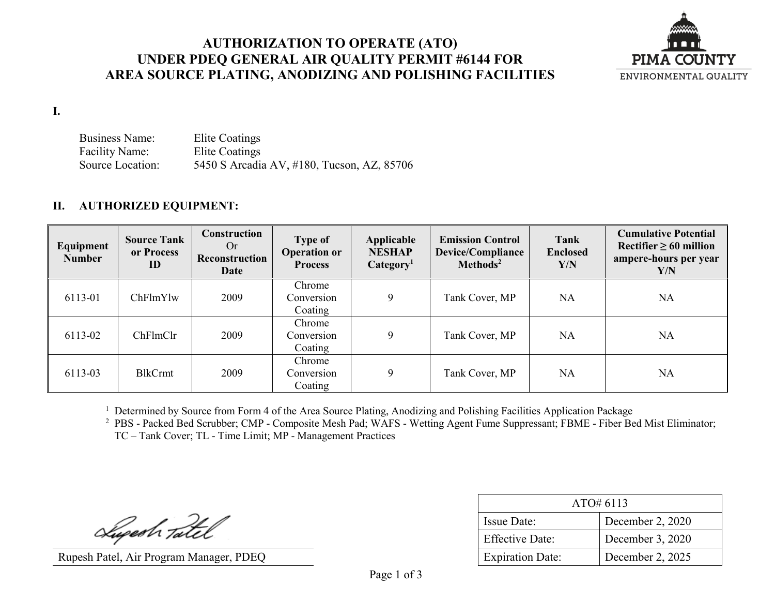## **AUTHORIZATION TO OPERATE (ATO) UNDER PDEQ GENERAL AIR QUALITY PERMIT #6144 FOR AREA SOURCE PLATING, ANODIZING AND POLISHING FACILITIES**



**I.**

Business Name: Elite Coatings Facility Name: Elite Coatings Source Location: 5450 S Arcadia AV, #180, Tucson, AZ, 85706

### **II. AUTHORIZED EQUIPMENT:**

| Equipment<br><b>Number</b> | <b>Source Tank</b><br>or Process<br>ID | Construction<br>Or<br>Reconstruction<br>Date | <b>Type of</b><br><b>Operation or</b><br><b>Process</b> | Applicable<br><b>NESHAP</b><br>Categorical <sup>1</sup> | <b>Emission Control</b><br><b>Device/Compliance</b><br>Methods <sup>2</sup> | Tank<br><b>Enclosed</b><br>Y/N | <b>Cumulative Potential</b><br>Rectifier $\geq 60$ million<br>ampere-hours per year<br>Y/N |
|----------------------------|----------------------------------------|----------------------------------------------|---------------------------------------------------------|---------------------------------------------------------|-----------------------------------------------------------------------------|--------------------------------|--------------------------------------------------------------------------------------------|
| 6113-01                    | ChFlmYlw                               | 2009                                         | Chrome<br>Conversion<br>Coating                         | 9                                                       | Tank Cover, MP                                                              | <b>NA</b>                      | <b>NA</b>                                                                                  |
| 6113-02                    | ChFlmClr                               | 2009                                         | Chrome<br>Conversion<br>Coating                         | 9                                                       | Tank Cover, MP                                                              | <b>NA</b>                      | NA                                                                                         |
| 6113-03                    | <b>BlkCrmt</b>                         | 2009                                         | Chrome<br>Conversion<br>Coating                         | 9                                                       | Tank Cover, MP                                                              | <b>NA</b>                      | <b>NA</b>                                                                                  |

<sup>1</sup> Determined by Source from Form 4 of the Area Source Plating, Anodizing and Polishing Facilities Application Package

<sup>2</sup> PBS - Packed Bed Scrubber; CMP - Composite Mesh Pad; WAFS - Wetting Agent Fume Suppressant; FBME - Fiber Bed Mist Eliminator; TC – Tank Cover; TL - Time Limit; MP - Management Practices

Superh Tatel

Rupesh Patel, Air Program Manager, PDEQ

| ATO#6113                |                  |  |  |  |
|-------------------------|------------------|--|--|--|
| <b>Issue Date:</b>      | December 2, 2020 |  |  |  |
| <b>Effective Date:</b>  | December 3, 2020 |  |  |  |
| <b>Expiration Date:</b> | December 2, 2025 |  |  |  |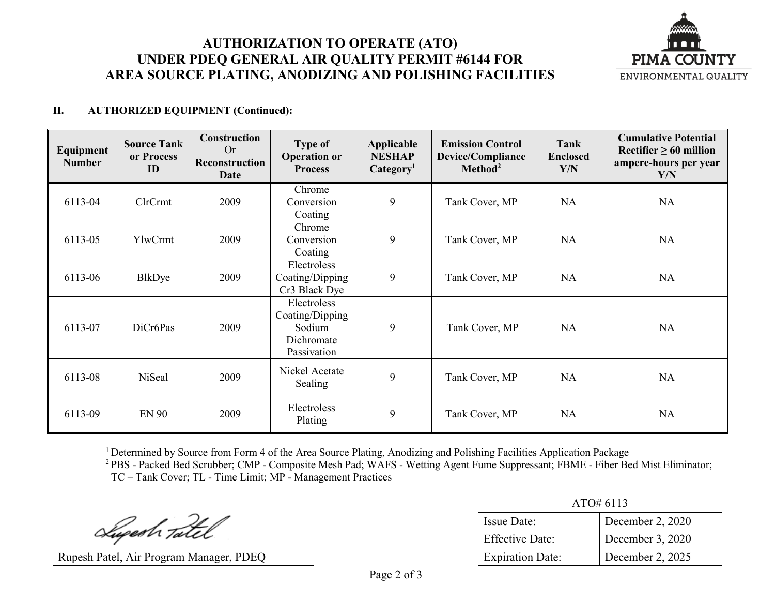# **AUTHORIZATION TO OPERATE (ATO) UNDER PDEQ GENERAL AIR QUALITY PERMIT #6144 FOR AREA SOURCE PLATING, ANODIZING AND POLISHING FACILITIES**



### **II. AUTHORIZED EQUIPMENT (Continued):**

| Equipment<br><b>Number</b> | <b>Source Tank</b><br>or Process<br>ID | <b>Construction</b><br>Or<br>Reconstruction<br>Date | <b>Type of</b><br><b>Operation or</b><br><b>Process</b>               | Applicable<br><b>NESHAP</b><br>Categorical <sub>1</sub> | <b>Emission Control</b><br>Device/Compliance<br>Method <sup>2</sup> | Tank<br><b>Enclosed</b><br>Y/N | <b>Cumulative Potential</b><br>Rectifier $\geq 60$ million<br>ampere-hours per year<br>Y/N |
|----------------------------|----------------------------------------|-----------------------------------------------------|-----------------------------------------------------------------------|---------------------------------------------------------|---------------------------------------------------------------------|--------------------------------|--------------------------------------------------------------------------------------------|
| 6113-04                    | ClrCrmt                                | 2009                                                | Chrome<br>Conversion<br>Coating                                       | 9                                                       | Tank Cover, MP                                                      | <b>NA</b>                      | <b>NA</b>                                                                                  |
| 6113-05                    | YlwCrmt                                | 2009                                                | Chrome<br>Conversion<br>Coating                                       | 9                                                       | Tank Cover, MP                                                      | <b>NA</b>                      | <b>NA</b>                                                                                  |
| 6113-06                    | BlkDye                                 | 2009                                                | Electroless<br>Coating/Dipping<br>Cr3 Black Dye                       | 9                                                       | Tank Cover, MP                                                      | NA                             | <b>NA</b>                                                                                  |
| 6113-07                    | DiCr6Pas                               | 2009                                                | Electroless<br>Coating/Dipping<br>Sodium<br>Dichromate<br>Passivation | 9                                                       | Tank Cover, MP                                                      | <b>NA</b>                      | <b>NA</b>                                                                                  |
| 6113-08                    | NiSeal                                 | 2009                                                | Nickel Acetate<br>Sealing                                             | 9                                                       | Tank Cover, MP                                                      | NA                             | <b>NA</b>                                                                                  |
| 6113-09                    | <b>EN 90</b>                           | 2009                                                | Electroless<br>Plating                                                | 9                                                       | Tank Cover, MP                                                      | <b>NA</b>                      | <b>NA</b>                                                                                  |

<sup>1</sup> Determined by Source from Form 4 of the Area Source Plating, Anodizing and Polishing Facilities Application Package

<sup>2</sup> PBS - Packed Bed Scrubber; CMP - Composite Mesh Pad; WAFS - Wetting Agent Fume Suppressant; FBME - Fiber Bed Mist Eliminator; TC – Tank Cover; TL - Time Limit; MP - Management Practices

Superh Tatel

Rupesh Patel, Air Program Manager, PDEQ

| ATO#6113                |                  |  |  |  |
|-------------------------|------------------|--|--|--|
| Issue Date:             | December 2, 2020 |  |  |  |
| <b>Effective Date:</b>  | December 3, 2020 |  |  |  |
| <b>Expiration Date:</b> | December 2, 2025 |  |  |  |